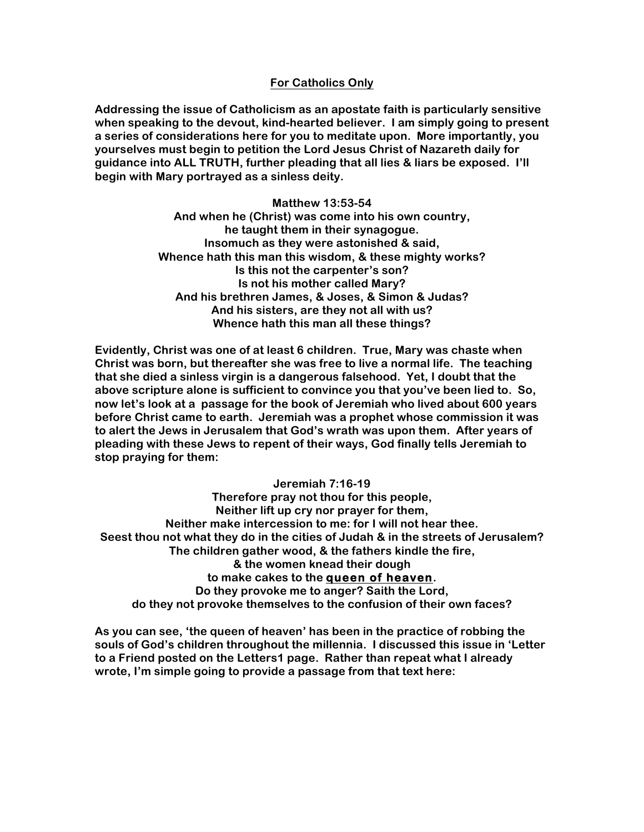## **For Catholics Only**

**Addressing the issue of Catholicism as an apostate faith is particularly sensitive when speaking to the devout, kind-hearted believer. I am simply going to present a series of considerations here for you to meditate upon. More importantly, you yourselves must begin to petition the Lord Jesus Christ of Nazareth daily for guidance into ALL TRUTH, further pleading that all lies & liars be exposed. I'll begin with Mary portrayed as a sinless deity.**

> **Matthew 13:53-54 And when he (Christ) was come into his own country, he taught them in their synagogue. Insomuch as they were astonished & said, Whence hath this man this wisdom, & these mighty works? Is this not the carpenter's son? Is not his mother called Mary? And his brethren James, & Joses, & Simon & Judas? And his sisters, are they not all with us? Whence hath this man all these things?**

**Evidently, Christ was one of at least 6 children. True, Mary was chaste when Christ was born, but thereafter she was free to live a normal life. The teaching that she died a sinless virgin is a dangerous falsehood. Yet, I doubt that the above scripture alone is sufficient to convince you that you've been lied to. So, now let's look at a passage for the book of Jeremiah who lived about 600 years before Christ came to earth. Jeremiah was a prophet whose commission it was to alert the Jews in Jerusalem that God's wrath was upon them. After years of pleading with these Jews to repent of their ways, God finally tells Jeremiah to stop praying for them:**

**Jeremiah 7:16-19 Therefore pray not thou for this people, Neither lift up cry nor prayer for them, Neither make intercession to me: for I will not hear thee. Seest thou not what they do in the cities of Judah & in the streets of Jerusalem? The children gather wood, & the fathers kindle the fire, & the women knead their dough to make cakes to the queen of heaven. Do they provoke me to anger? Saith the Lord, do they not provoke themselves to the confusion of their own faces?**

**As you can see, 'the queen of heaven' has been in the practice of robbing the souls of God's children throughout the millennia. I discussed this issue in 'Letter to a Friend posted on the Letters1 page. Rather than repeat what I already wrote, I'm simple going to provide a passage from that text here:**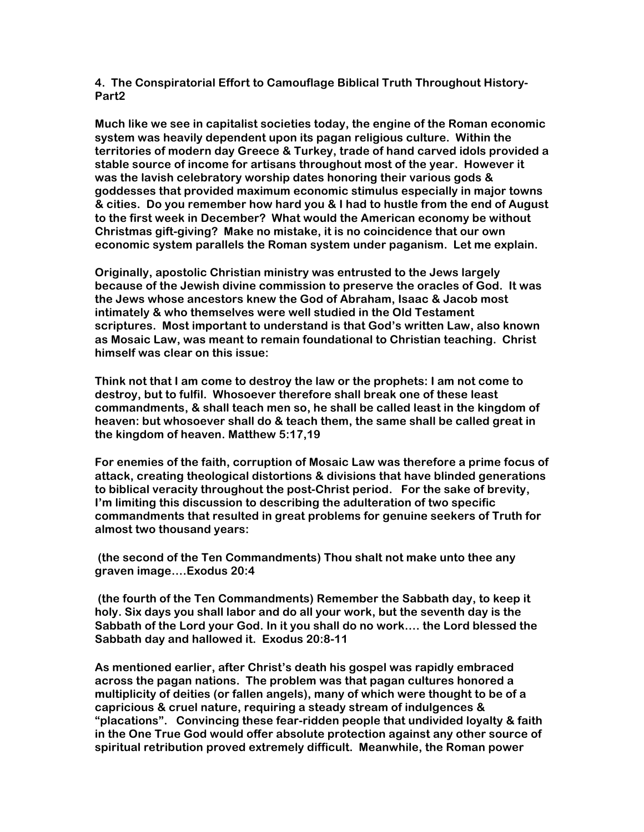**4. The Conspiratorial Effort to Camouflage Biblical Truth Throughout History-Part2**

**Much like we see in capitalist societies today, the engine of the Roman economic system was heavily dependent upon its pagan religious culture. Within the territories of modern day Greece & Turkey, trade of hand carved idols provided a stable source of income for artisans throughout most of the year. However it was the lavish celebratory worship dates honoring their various gods & goddesses that provided maximum economic stimulus especially in major towns & cities. Do you remember how hard you & I had to hustle from the end of August to the first week in December? What would the American economy be without Christmas gift-giving? Make no mistake, it is no coincidence that our own economic system parallels the Roman system under paganism. Let me explain.**

**Originally, apostolic Christian ministry was entrusted to the Jews largely because of the Jewish divine commission to preserve the oracles of God. It was the Jews whose ancestors knew the God of Abraham, Isaac & Jacob most intimately & who themselves were well studied in the Old Testament scriptures. Most important to understand is that God's written Law, also known as Mosaic Law, was meant to remain foundational to Christian teaching. Christ himself was clear on this issue:**

**Think not that I am come to destroy the law or the prophets: I am not come to destroy, but to fulfil. Whosoever therefore shall break one of these least commandments, & shall teach men so, he shall be called least in the kingdom of heaven: but whosoever shall do & teach them, the same shall be called great in the kingdom of heaven. Matthew 5:17,19**

**For enemies of the faith, corruption of Mosaic Law was therefore a prime focus of attack, creating theological distortions & divisions that have blinded generations to biblical veracity throughout the post-Christ period. For the sake of brevity, I'm limiting this discussion to describing the adulteration of two specific commandments that resulted in great problems for genuine seekers of Truth for almost two thousand years:**

**(the second of the Ten Commandments) Thou shalt not make unto thee any graven image….Exodus 20:4**

**(the fourth of the Ten Commandments) Remember the Sabbath day, to keep it holy. Six days you shall labor and do all your work, but the seventh day is the Sabbath of the Lord your God. In it you shall do no work…. the Lord blessed the Sabbath day and hallowed it. Exodus 20:8-11**

**As mentioned earlier, after Christ's death his gospel was rapidly embraced across the pagan nations. The problem was that pagan cultures honored a multiplicity of deities (or fallen angels), many of which were thought to be of a capricious & cruel nature, requiring a steady stream of indulgences & "placations". Convincing these fear-ridden people that undivided loyalty & faith in the One True God would offer absolute protection against any other source of spiritual retribution proved extremely difficult. Meanwhile, the Roman power**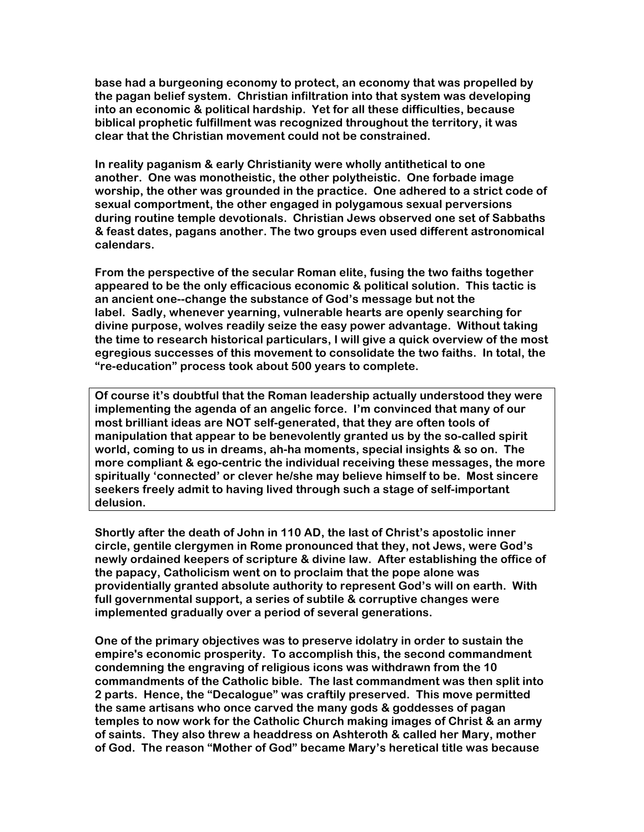**base had a burgeoning economy to protect, an economy that was propelled by the pagan belief system. Christian infiltration into that system was developing into an economic & political hardship. Yet for all these difficulties, because biblical prophetic fulfillment was recognized throughout the territory, it was clear that the Christian movement could not be constrained.**

**In reality paganism & early Christianity were wholly antithetical to one another. One was monotheistic, the other polytheistic. One forbade image worship, the other was grounded in the practice. One adhered to a strict code of sexual comportment, the other engaged in polygamous sexual perversions during routine temple devotionals. Christian Jews observed one set of Sabbaths & feast dates, pagans another. The two groups even used different astronomical calendars.**

**From the perspective of the secular Roman elite, fusing the two faiths together appeared to be the only efficacious economic & political solution. This tactic is an ancient one--change the substance of God's message but not the label. Sadly, whenever yearning, vulnerable hearts are openly searching for divine purpose, wolves readily seize the easy power advantage. Without taking the time to research historical particulars, I will give a quick overview of the most egregious successes of this movement to consolidate the two faiths. In total, the "re-education" process took about 500 years to complete.**

**Of course it's doubtful that the Roman leadership actually understood they were implementing the agenda of an angelic force. I'm convinced that many of our most brilliant ideas are NOT self-generated, that they are often tools of manipulation that appear to be benevolently granted us by the so-called spirit world, coming to us in dreams, ah-ha moments, special insights & so on. The more compliant & ego-centric the individual receiving these messages, the more spiritually 'connected' or clever he/she may believe himself to be. Most sincere seekers freely admit to having lived through such a stage of self-important delusion.**

**Shortly after the death of John in 110 AD, the last of Christ's apostolic inner circle, gentile clergymen in Rome pronounced that they, not Jews, were God's newly ordained keepers of scripture & divine law. After establishing the office of the papacy, Catholicism went on to proclaim that the pope alone was providentially granted absolute authority to represent God's will on earth. With full governmental support, a series of subtile & corruptive changes were implemented gradually over a period of several generations.**

**One of the primary objectives was to preserve idolatry in order to sustain the empire's economic prosperity. To accomplish this, the second commandment condemning the engraving of religious icons was withdrawn from the 10 commandments of the Catholic bible. The last commandment was then split into 2 parts. Hence, the "Decalogue" was craftily preserved. This move permitted the same artisans who once carved the many gods & goddesses of pagan temples to now work for the Catholic Church making images of Christ & an army of saints. They also threw a headdress on Ashteroth & called her Mary, mother of God. The reason "Mother of God" became Mary's heretical title was because**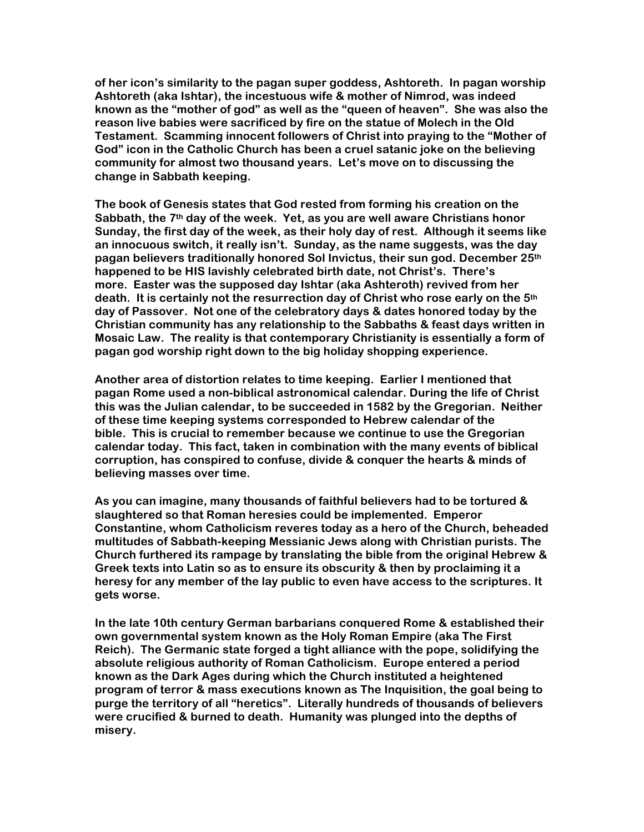**of her icon's similarity to the pagan super goddess, Ashtoreth. In pagan worship Ashtoreth (aka Ishtar), the incestuous wife & mother of Nimrod, was indeed known as the "mother of god" as well as the "queen of heaven". She was also the reason live babies were sacrificed by fire on the statue of Molech in the Old Testament. Scamming innocent followers of Christ into praying to the "Mother of God" icon in the Catholic Church has been a cruel satanic joke on the believing community for almost two thousand years. Let's move on to discussing the change in Sabbath keeping.**

**The book of Genesis states that God rested from forming his creation on the Sabbath, the 7th day of the week. Yet, as you are well aware Christians honor Sunday, the first day of the week, as their holy day of rest. Although it seems like an innocuous switch, it really isn't. Sunday, as the name suggests, was the day pagan believers traditionally honored Sol Invictus, their sun god. December 25th happened to be HIS lavishly celebrated birth date, not Christ's. There's more. Easter was the supposed day Ishtar (aka Ashteroth) revived from her death. It is certainly not the resurrection day of Christ who rose early on the 5th day of Passover. Not one of the celebratory days & dates honored today by the Christian community has any relationship to the Sabbaths & feast days written in Mosaic Law. The reality is that contemporary Christianity is essentially a form of pagan god worship right down to the big holiday shopping experience.**

**Another area of distortion relates to time keeping. Earlier I mentioned that pagan Rome used a non-biblical astronomical calendar. During the life of Christ this was the Julian calendar, to be succeeded in 1582 by the Gregorian. Neither of these time keeping systems corresponded to Hebrew calendar of the bible. This is crucial to remember because we continue to use the Gregorian calendar today. This fact, taken in combination with the many events of biblical corruption, has conspired to confuse, divide & conquer the hearts & minds of believing masses over time.**

**As you can imagine, many thousands of faithful believers had to be tortured & slaughtered so that Roman heresies could be implemented. Emperor Constantine, whom Catholicism reveres today as a hero of the Church, beheaded multitudes of Sabbath-keeping Messianic Jews along with Christian purists. The Church furthered its rampage by translating the bible from the original Hebrew & Greek texts into Latin so as to ensure its obscurity & then by proclaiming it a heresy for any member of the lay public to even have access to the scriptures. It gets worse.**

**In the late 10th century German barbarians conquered Rome & established their own governmental system known as the Holy Roman Empire (aka The First Reich). The Germanic state forged a tight alliance with the pope, solidifying the absolute religious authority of Roman Catholicism. Europe entered a period known as the Dark Ages during which the Church instituted a heightened program of terror & mass executions known as The Inquisition, the goal being to purge the territory of all "heretics". Literally hundreds of thousands of believers were crucified & burned to death. Humanity was plunged into the depths of misery.**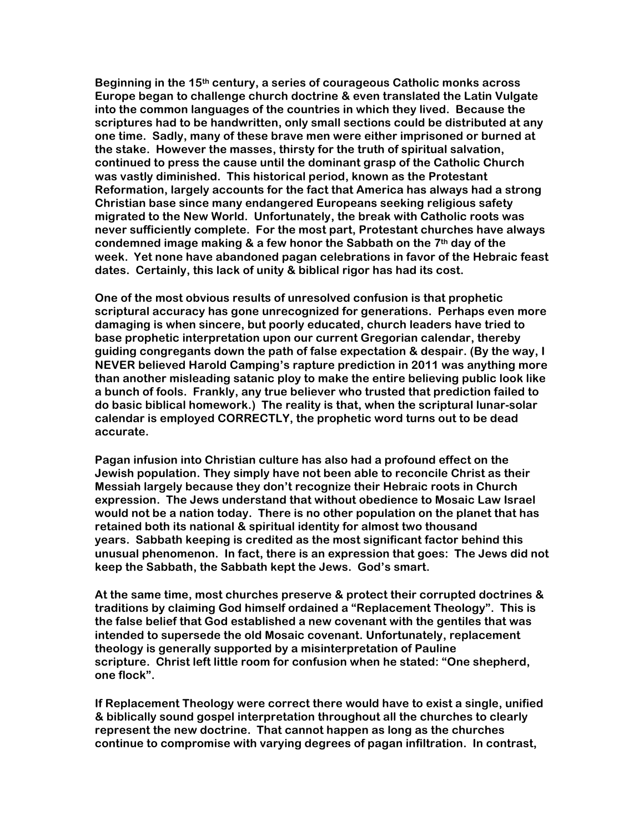**Beginning in the 15th century, a series of courageous Catholic monks across Europe began to challenge church doctrine & even translated the Latin Vulgate into the common languages of the countries in which they lived. Because the scriptures had to be handwritten, only small sections could be distributed at any one time. Sadly, many of these brave men were either imprisoned or burned at the stake. However the masses, thirsty for the truth of spiritual salvation, continued to press the cause until the dominant grasp of the Catholic Church was vastly diminished. This historical period, known as the Protestant Reformation, largely accounts for the fact that America has always had a strong Christian base since many endangered Europeans seeking religious safety migrated to the New World. Unfortunately, the break with Catholic roots was never sufficiently complete. For the most part, Protestant churches have always condemned image making & a few honor the Sabbath on the 7th day of the week. Yet none have abandoned pagan celebrations in favor of the Hebraic feast dates. Certainly, this lack of unity & biblical rigor has had its cost.**

**One of the most obvious results of unresolved confusion is that prophetic scriptural accuracy has gone unrecognized for generations. Perhaps even more damaging is when sincere, but poorly educated, church leaders have tried to base prophetic interpretation upon our current Gregorian calendar, thereby guiding congregants down the path of false expectation & despair. (By the way, I NEVER believed Harold Camping's rapture prediction in 2011 was anything more than another misleading satanic ploy to make the entire believing public look like a bunch of fools. Frankly, any true believer who trusted that prediction failed to do basic biblical homework.) The reality is that, when the scriptural lunar-solar calendar is employed CORRECTLY, the prophetic word turns out to be dead accurate.**

**Pagan infusion into Christian culture has also had a profound effect on the Jewish population. They simply have not been able to reconcile Christ as their Messiah largely because they don't recognize their Hebraic roots in Church expression. The Jews understand that without obedience to Mosaic Law Israel would not be a nation today. There is no other population on the planet that has retained both its national & spiritual identity for almost two thousand years. Sabbath keeping is credited as the most significant factor behind this unusual phenomenon. In fact, there is an expression that goes: The Jews did not keep the Sabbath, the Sabbath kept the Jews. God's smart.**

**At the same time, most churches preserve & protect their corrupted doctrines & traditions by claiming God himself ordained a "Replacement Theology". This is the false belief that God established a new covenant with the gentiles that was intended to supersede the old Mosaic covenant. Unfortunately, replacement theology is generally supported by a misinterpretation of Pauline scripture. Christ left little room for confusion when he stated: "One shepherd, one flock".**

**If Replacement Theology were correct there would have to exist a single, unified & biblically sound gospel interpretation throughout all the churches to clearly represent the new doctrine. That cannot happen as long as the churches continue to compromise with varying degrees of pagan infiltration. In contrast,**